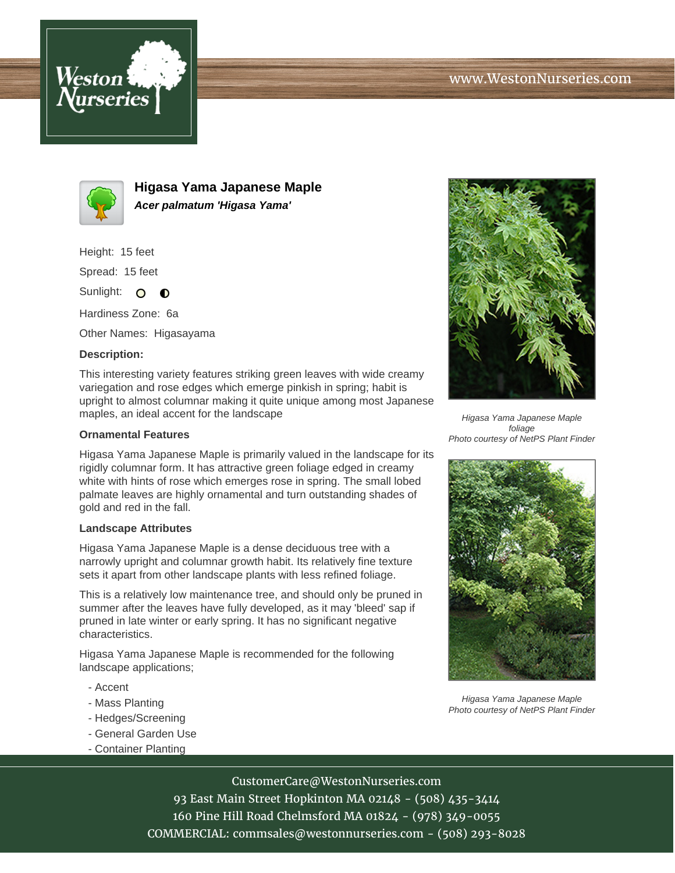



**Higasa Yama Japanese Maple Acer palmatum 'Higasa Yama'**

Height: 15 feet

Spread: 15 feet

Sunlight: O  $\bullet$ 

Hardiness Zone: 6a

Other Names: Higasayama

## **Description:**

This interesting variety features striking green leaves with wide creamy variegation and rose edges which emerge pinkish in spring; habit is upright to almost columnar making it quite unique among most Japanese maples, an ideal accent for the landscape

## **Ornamental Features**

Higasa Yama Japanese Maple is primarily valued in the landscape for its rigidly columnar form. It has attractive green foliage edged in creamy white with hints of rose which emerges rose in spring. The small lobed palmate leaves are highly ornamental and turn outstanding shades of gold and red in the fall.

## **Landscape Attributes**

Higasa Yama Japanese Maple is a dense deciduous tree with a narrowly upright and columnar growth habit. Its relatively fine texture sets it apart from other landscape plants with less refined foliage.

This is a relatively low maintenance tree, and should only be pruned in summer after the leaves have fully developed, as it may 'bleed' sap if pruned in late winter or early spring. It has no significant negative characteristics.

Higasa Yama Japanese Maple is recommended for the following landscape applications;

- Accent
- Mass Planting
- Hedges/Screening
- General Garden Use
- Container Planting



Higasa Yama Japanese Maple foliage Photo courtesy of NetPS Plant Finder



Higasa Yama Japanese Maple Photo courtesy of NetPS Plant Finder

CustomerCare@WestonNurseries.com

93 East Main Street Hopkinton MA 02148 - (508) 435-3414 160 Pine Hill Road Chelmsford MA 01824 - (978) 349-0055 COMMERCIAL: commsales@westonnurseries.com - (508) 293-8028